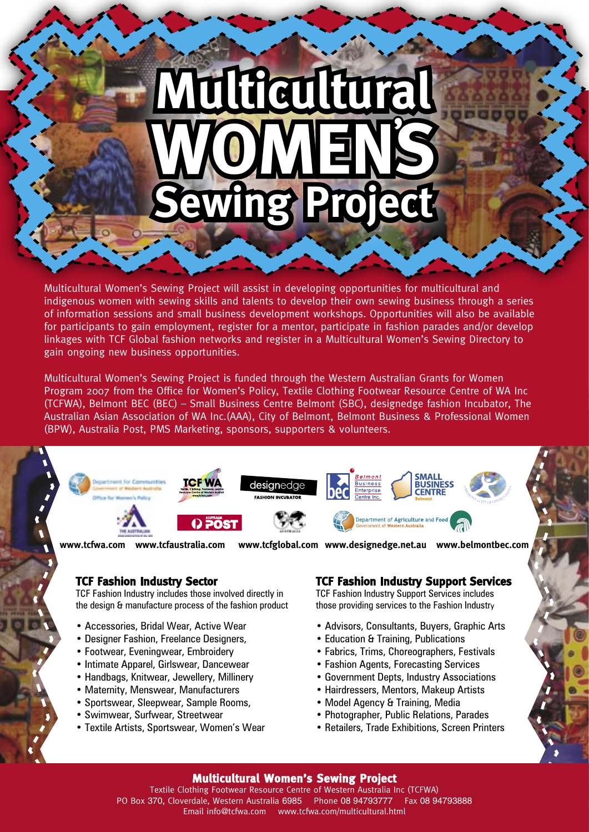# **Multura WOMENS ng Proj '**

Multicultural Women's Sewing Project will assist in developing opportunities for multicultural and indigenous women with sewing skills and talents to develop their own sewing business through a series of information sessions and small business development workshops. Opportunities will also be available for participants to gain employment, register for a mentor, participate in fashion parades and/or develop linkages with TCF Global fashion networks and register in a Multicultural Women's Sewing Directory to gain ongoing new business opportunities.

Multicultural Women's Sewing Project is funded through the Western Australian Grants for Women Program 2007 from the Office for Women's Policy, Textile Clothing Footwear Resource Centre of WA Inc (TCFWA), Belmont BEC (BEC) – Small Business Centre Belmont (SBC), designedge fashion Incubator, The Australian Asian Association of WA Inc.(AAA), City of Belmont, Belmont Business & Professional Women (BPW), Australia Post, PMS Marketing, sponsors, supporters & volunteers.



**www.tcfwa.com www.tcfaustralia.com www.tcfglobal.com www.designedge.net.au www.belmontbec.com**

## **TCF Fashion Industry Sector**

TCF Fashion Industry includes those involved directly in the design & manufacture process of the fashion product

- Accessories, Bridal Wear, Active Wear
- Designer Fashion, Freelance Designers,
- Footwear, Eveningwear, Embroidery
- Intimate Apparel, Girlswear, Dancewear
- Handbags, Knitwear, Jewellery, Millinery
- Maternity, Menswear, Manufacturers
- Sportswear, Sleepwear, Sample Rooms,
- Swimwear, Surfwear, Streetwear
- Textile Artists, Sportswear, Women's Wear

## **TCF Fashion Industry Support Services**

TCF Fashion Industry Support Services includes those providing services to the Fashion Industry

- Advisors, Consultants, Buyers, Graphic Arts
- Education & Training, Publications
- Fabrics, Trims, Choreographers, Festivals
- Fashion Agents, Forecasting Services
- Government Depts, Industry Associations
- Hairdressers, Mentors, Makeup Artists
- Model Agency & Training, Media
- Photographer, Public Relations, Parades
- Retailers, Trade Exhibitions, Screen Printers

#### **Multicultural Women's Sewing Project**

Textile Clothing Footwear Resource Centre of Western Australia Inc (TCFWA) PO Box 370, Cloverdale, Western Australia 6985 Phone 08 94793777 Fax 08 94793888 Email info@tcfwa.com www.tcfwa.com/multicultural.html